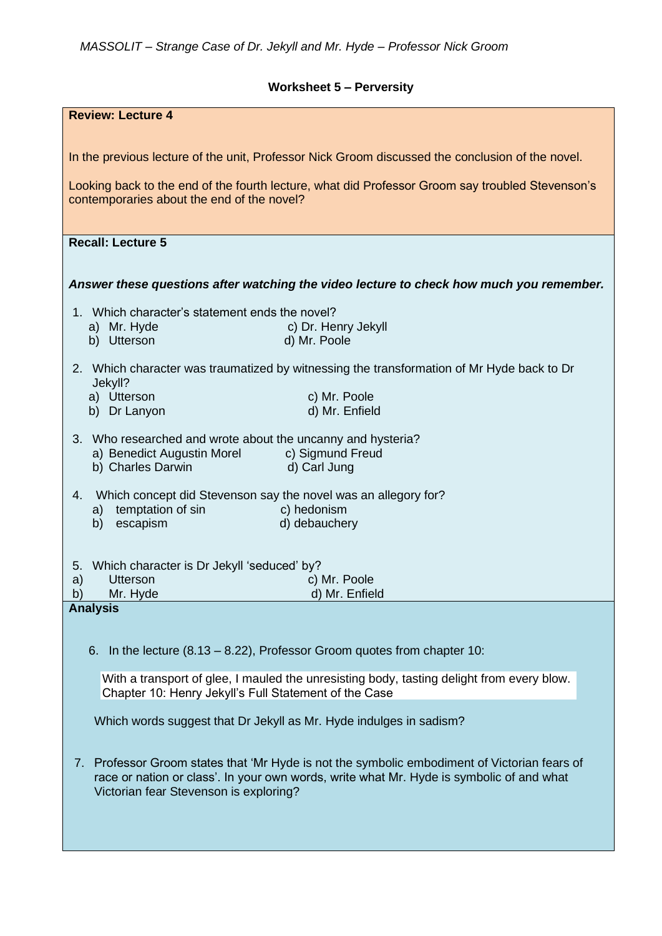## **Worksheet 5 – Perversity**

| In the previous lecture of the unit, Professor Nick Groom discussed the conclusion of the novel.                                                                                            |  |
|---------------------------------------------------------------------------------------------------------------------------------------------------------------------------------------------|--|
| Looking back to the end of the fourth lecture, what did Professor Groom say troubled Stevenson's<br>contemporaries about the end of the novel?                                              |  |
|                                                                                                                                                                                             |  |
| <b>Recall: Lecture 5</b>                                                                                                                                                                    |  |
|                                                                                                                                                                                             |  |
| Answer these questions after watching the video lecture to check how much you remember.                                                                                                     |  |
| 1. Which character's statement ends the novel?                                                                                                                                              |  |
| c) Dr. Henry Jekyll<br>a) Mr. Hyde<br>b) Utterson<br>d) Mr. Poole                                                                                                                           |  |
| 2. Which character was traumatized by witnessing the transformation of Mr Hyde back to Dr                                                                                                   |  |
| Jekyll?<br>a) Utterson<br>c) Mr. Poole                                                                                                                                                      |  |
| d) Mr. Enfield<br>b) Dr Lanyon                                                                                                                                                              |  |
| 3. Who researched and wrote about the uncanny and hysteria?                                                                                                                                 |  |
| c) Sigmund Freud<br>a) Benedict Augustin Morel<br>d) Carl Jung<br>b) Charles Darwin                                                                                                         |  |
|                                                                                                                                                                                             |  |
| Which concept did Stevenson say the novel was an allegory for?<br>4.<br>a) temptation of sin<br>c) hedonism                                                                                 |  |
| escapism<br>d) debauchery<br>b)                                                                                                                                                             |  |
|                                                                                                                                                                                             |  |
| Which character is Dr Jekyll 'seduced' by?<br>5.                                                                                                                                            |  |
| <b>Utterson</b><br>c) Mr. Poole<br>a)<br>b)<br>Mr. Hyde<br>d) Mr. Enfield                                                                                                                   |  |
| <b>Analysis</b>                                                                                                                                                                             |  |
|                                                                                                                                                                                             |  |
| In the lecture $(8.13 - 8.22)$ , Professor Groom quotes from chapter 10:<br>6.                                                                                                              |  |
| With a transport of glee, I mauled the unresisting body, tasting delight from every blow.<br>Chapter 10: Henry Jekyll's Full Statement of the Case                                          |  |
| Which words suggest that Dr Jekyll as Mr. Hyde indulges in sadism?                                                                                                                          |  |
|                                                                                                                                                                                             |  |
| Professor Groom states that 'Mr Hyde is not the symbolic embodiment of Victorian fears of<br>7.<br>race or nation or class'. In your own words, write what Mr. Hyde is symbolic of and what |  |
| Victorian fear Stevenson is exploring?                                                                                                                                                      |  |
|                                                                                                                                                                                             |  |
|                                                                                                                                                                                             |  |